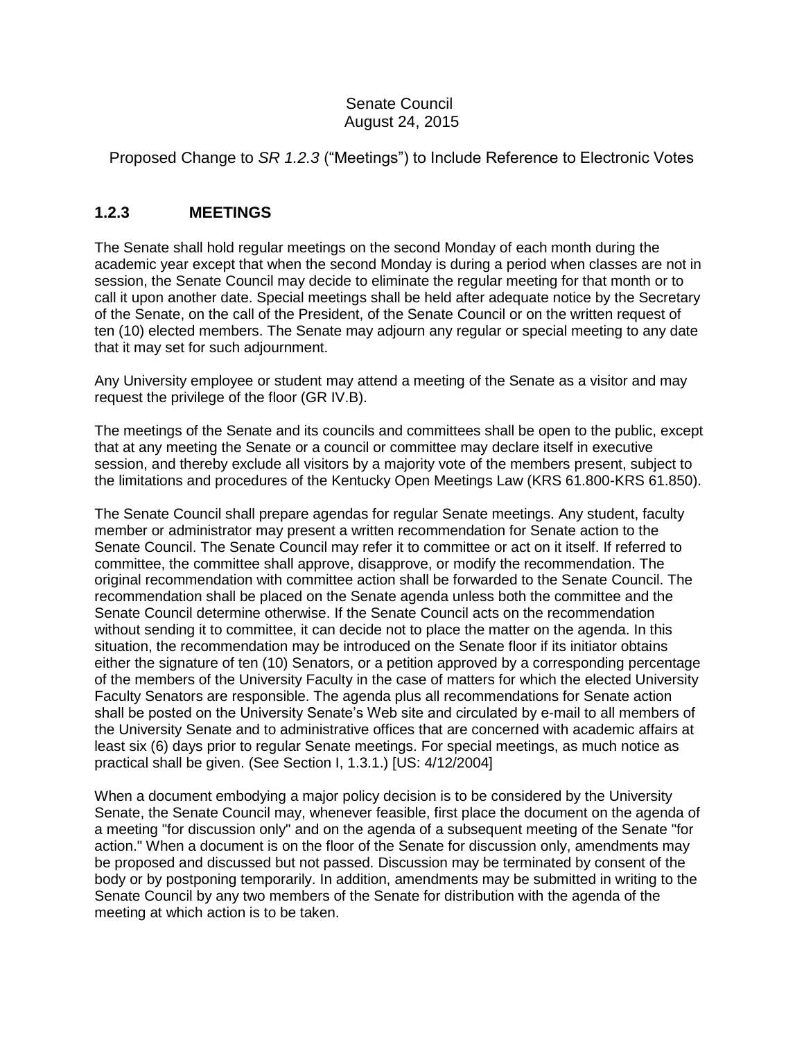## Senate Council August 24, 2015

Proposed Change to *SR 1.2.3* ("Meetings") to Include Reference to Electronic Votes

## **1.2.3 MEETINGS**

The Senate shall hold regular meetings on the second Monday of each month during the academic year except that when the second Monday is during a period when classes are not in session, the Senate Council may decide to eliminate the regular meeting for that month or to call it upon another date. Special meetings shall be held after adequate notice by the Secretary of the Senate, on the call of the President, of the Senate Council or on the written request of ten (10) elected members. The Senate may adjourn any regular or special meeting to any date that it may set for such adjournment.

Any University employee or student may attend a meeting of the Senate as a visitor and may request the privilege of the floor (GR IV.B).

The meetings of the Senate and its councils and committees shall be open to the public, except that at any meeting the Senate or a council or committee may declare itself in executive session, and thereby exclude all visitors by a majority vote of the members present, subject to the limitations and procedures of the Kentucky Open Meetings Law (KRS 61.800-KRS 61.850).

The Senate Council shall prepare agendas for regular Senate meetings. Any student, faculty member or administrator may present a written recommendation for Senate action to the Senate Council. The Senate Council may refer it to committee or act on it itself. If referred to committee, the committee shall approve, disapprove, or modify the recommendation. The original recommendation with committee action shall be forwarded to the Senate Council. The recommendation shall be placed on the Senate agenda unless both the committee and the Senate Council determine otherwise. If the Senate Council acts on the recommendation without sending it to committee, it can decide not to place the matter on the agenda. In this situation, the recommendation may be introduced on the Senate floor if its initiator obtains either the signature of ten (10) Senators, or a petition approved by a corresponding percentage of the members of the University Faculty in the case of matters for which the elected University Faculty Senators are responsible. The agenda plus all recommendations for Senate action shall be posted on the University Senate's Web site and circulated by e-mail to all members of the University Senate and to administrative offices that are concerned with academic affairs at least six (6) days prior to regular Senate meetings. For special meetings, as much notice as practical shall be given. (See Section I, 1.3.1.) [US: 4/12/2004]

When a document embodying a major policy decision is to be considered by the University Senate, the Senate Council may, whenever feasible, first place the document on the agenda of a meeting "for discussion only" and on the agenda of a subsequent meeting of the Senate "for action." When a document is on the floor of the Senate for discussion only, amendments may be proposed and discussed but not passed. Discussion may be terminated by consent of the body or by postponing temporarily. In addition, amendments may be submitted in writing to the Senate Council by any two members of the Senate for distribution with the agenda of the meeting at which action is to be taken.